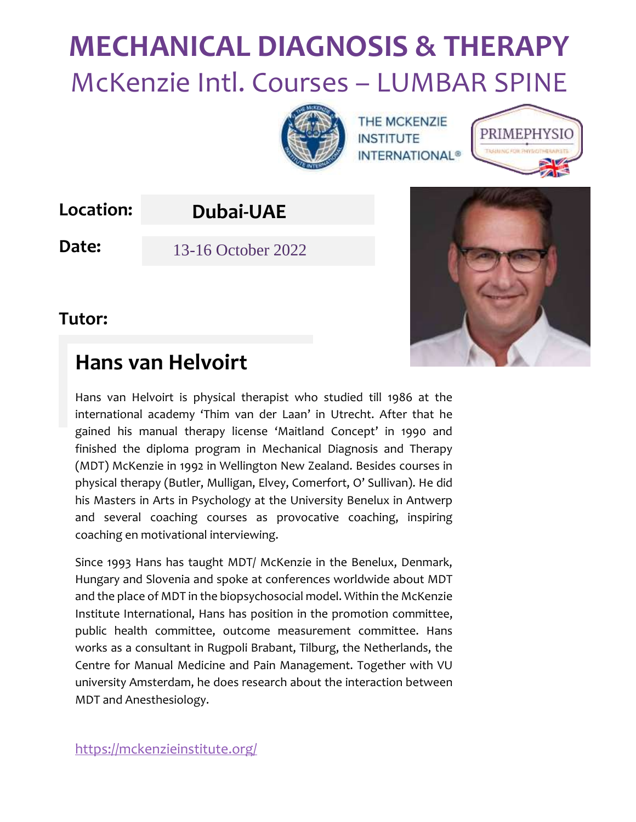

THE MCKENZIE **INSTITUTE INTERNATIONAL<sup>®</sup>** 



**Location:**

### **Dubai-UAE**

**Date:** 13-16 October 2022



#### **Tutor:**

# **Hans van Helvoirt**

Hans van Helvoirt is physical therapist who studied till 1986 at the international academy 'Thim van der Laan' in Utrecht. After that he gained his manual therapy license 'Maitland Concept' in 1990 and finished the diploma program in Mechanical Diagnosis and Therapy (MDT) McKenzie in 1992 in Wellington New Zealand. Besides courses in physical therapy (Butler, Mulligan, Elvey, Comerfort, O' Sullivan). He did his Masters in Arts in Psychology at the University Benelux in Antwerp and several coaching courses as provocative coaching, inspiring coaching en motivational interviewing.

Since 1993 Hans has taught MDT/ McKenzie in the Benelux, Denmark, Hungary and Slovenia and spoke at conferences worldwide about MDT and the place of MDT in the biopsychosocial model. Within the McKenzie Institute International, Hans has position in the promotion committee, public health committee, outcome measurement committee. Hans works as a consultant in Rugpoli Brabant, Tilburg, the Netherlands, the Centre for Manual Medicine and Pain Management. Together with VU university Amsterdam, he does research about the interaction between MDT and Anesthesiology.

<https://mckenzieinstitute.org/>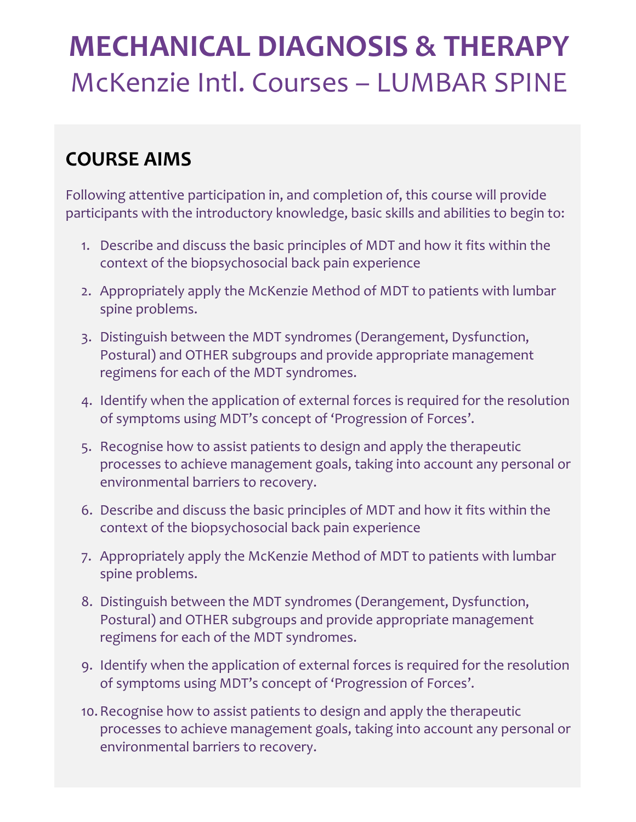# **COURSE AIMS**

Following attentive participation in, and completion of, this course will provide participants with the introductory knowledge, basic skills and abilities to begin to:

- 1. Describe and discuss the basic principles of MDT and how it fits within the context of the biopsychosocial back pain experience
- 2. Appropriately apply the McKenzie Method of MDT to patients with lumbar spine problems.
- 3. Distinguish between the MDT syndromes (Derangement, Dysfunction, Postural) and OTHER subgroups and provide appropriate management regimens for each of the MDT syndromes.
- 4. Identify when the application of external forces is required for the resolution of symptoms using MDT's concept of 'Progression of Forces'.
- 5. Recognise how to assist patients to design and apply the therapeutic processes to achieve management goals, taking into account any personal or environmental barriers to recovery.
- 6. Describe and discuss the basic principles of MDT and how it fits within the context of the biopsychosocial back pain experience
- 7. Appropriately apply the McKenzie Method of MDT to patients with lumbar spine problems.
- 8. Distinguish between the MDT syndromes (Derangement, Dysfunction, Postural) and OTHER subgroups and provide appropriate management regimens for each of the MDT syndromes.
- 9. Identify when the application of external forces is required for the resolution of symptoms using MDT's concept of 'Progression of Forces'.
- 10.Recognise how to assist patients to design and apply the therapeutic processes to achieve management goals, taking into account any personal or environmental barriers to recovery.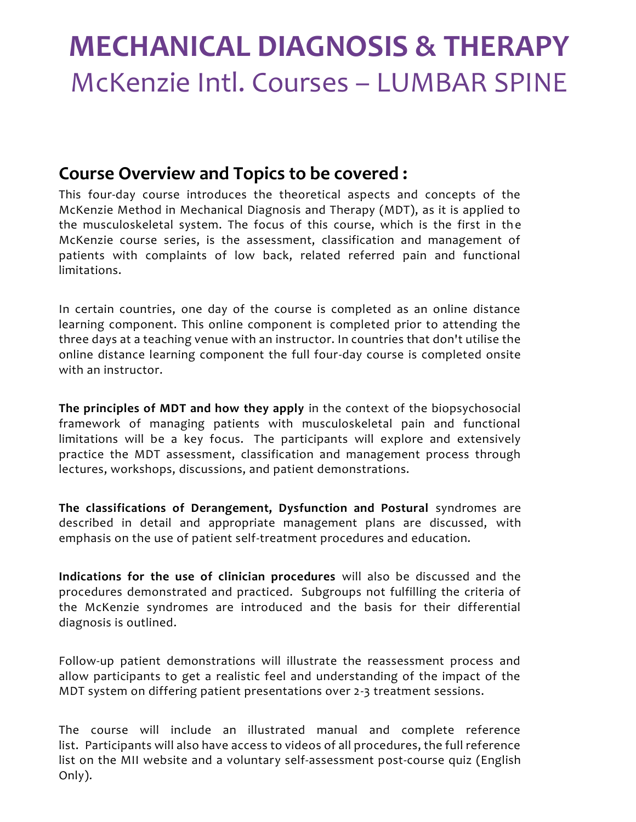#### **Course Overview and Topics to be covered :**

This four-day course introduces the theoretical aspects and concepts of the McKenzie Method in Mechanical Diagnosis and Therapy (MDT), as it is applied to the musculoskeletal system. The focus of this course, which is the first in the McKenzie course series, is the assessment, classification and management of patients with complaints of low back, related referred pain and functional limitations.

In certain countries, one day of the course is completed as an online distance learning component. This online component is completed prior to attending the three days at a teaching venue with an instructor. In countries that don't utilise the online distance learning component the full four-day course is completed onsite with an instructor.

**The principles of MDT and how they apply** in the context of the biopsychosocial framework of managing patients with musculoskeletal pain and functional limitations will be a key focus. The participants will explore and extensively practice the MDT assessment, classification and management process through lectures, workshops, discussions, and patient demonstrations.

**The classifications of Derangement, Dysfunction and Postural** syndromes are described in detail and appropriate management plans are discussed, with emphasis on the use of patient self-treatment procedures and education.

**Indications for the use of clinician procedures** will also be discussed and the procedures demonstrated and practiced. Subgroups not fulfilling the criteria of the McKenzie syndromes are introduced and the basis for their differential diagnosis is outlined.

Follow-up patient demonstrations will illustrate the reassessment process and allow participants to get a realistic feel and understanding of the impact of the MDT system on differing patient presentations over 2-3 treatment sessions.

The course will include an illustrated manual and complete reference list. Participants will also have access to videos of all procedures, the full reference list on the MII website and a voluntary self-assessment post-course quiz (English Only).